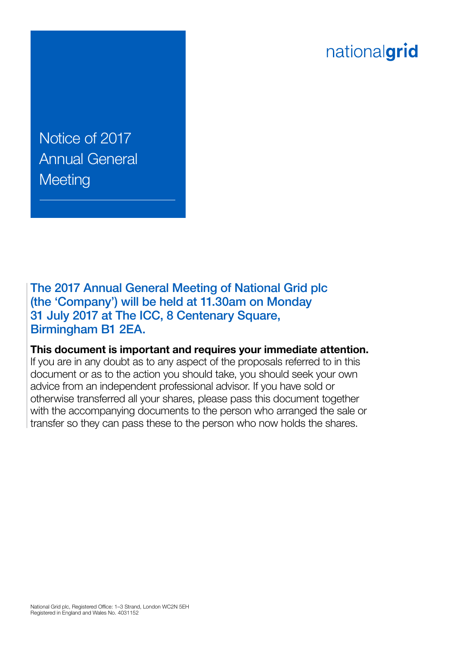# nationalgrid

Notice of 2017 Annual General **Meeting** 

The 2017 Annual General Meeting of National Grid plc (the 'Company') will be held at 11.30am on Monday 31 July 2017 at The ICC, 8 Centenary Square, Birmingham B1 2EA.

**This document is important and requires your immediate attention.** 

If you are in any doubt as to any aspect of the proposals referred to in this document or as to the action you should take, you should seek your own advice from an independent professional advisor. If you have sold or otherwise transferred all your shares, please pass this document together with the accompanying documents to the person who arranged the sale or transfer so they can pass these to the person who now holds the shares.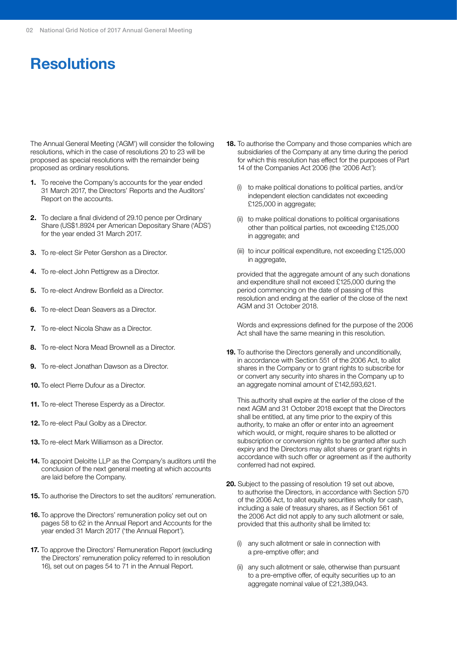## **Resolutions**

The Annual General Meeting ('AGM') will consider the following resolutions, which in the case of resolutions 20 to 23 will be proposed as special resolutions with the remainder being proposed as ordinary resolutions.

- **1.** To receive the Company's accounts for the year ended 31 March 2017, the Directors' Reports and the Auditors' Report on the accounts.
- **2.** To declare a final dividend of 29.10 pence per Ordinary Share (US\$1.8924 per American Depositary Share ('ADS') for the year ended 31 March 2017.
- **3.** To re-elect Sir Peter Gershon as a Director.
- **4.** To re-elect John Pettigrew as a Director.
- **5.** To re-elect Andrew Bonfield as a Director.
- **6.** To re-elect Dean Seavers as a Director.
- **7.** To re-elect Nicola Shaw as a Director.
- **8.** To re-elect Nora Mead Brownell as a Director.
- **9.** To re-elect Jonathan Dawson as a Director.
- **10.** To elect Pierre Dufour as a Director.
- **11.** To re-elect Therese Esperdy as a Director.
- **12.** To re-elect Paul Golby as a Director.
- **13.** To re-elect Mark Williamson as a Director.
- **14.** To appoint Deloitte LLP as the Company's auditors until the conclusion of the next general meeting at which accounts are laid before the Company.
- **15.** To authorise the Directors to set the auditors' remuneration.
- **16.** To approve the Directors' remuneration policy set out on pages 58 to 62 in the Annual Report and Accounts for the year ended 31 March 2017 ('the Annual Report').
- **17.** To approve the Directors' Remuneration Report (excluding the Directors' remuneration policy referred to in resolution 16), set out on pages 54 to 71 in the Annual Report.
- **18.** To authorise the Company and those companies which are subsidiaries of the Company at any time during the period for which this resolution has effect for the purposes of Part 14 of the Companies Act 2006 (the '2006 Act'):
	- (i) to make political donations to political parties, and/or independent election candidates not exceeding £125,000 in aggregate;
	- (ii) to make political donations to political organisations other than political parties, not exceeding £125,000 in aggregate; and
	- (iii) to incur political expenditure, not exceeding £125,000 in aggregate,

provided that the aggregate amount of any such donations and expenditure shall not exceed £125,000 during the period commencing on the date of passing of this resolution and ending at the earlier of the close of the next AGM and 31 October 2018.

Words and expressions defined for the purpose of the 2006 Act shall have the same meaning in this resolution.

**19.** To authorise the Directors generally and unconditionally, in accordance with Section 551 of the 2006 Act, to allot shares in the Company or to grant rights to subscribe for or convert any security into shares in the Company up to an aggregate nominal amount of £142,593,621.

This authority shall expire at the earlier of the close of the next AGM and 31 October 2018 except that the Directors shall be entitled, at any time prior to the expiry of this authority, to make an offer or enter into an agreement which would, or might, require shares to be allotted or subscription or conversion rights to be granted after such expiry and the Directors may allot shares or grant rights in accordance with such offer or agreement as if the authority conferred had not expired.

- **20.** Subject to the passing of resolution 19 set out above, to authorise the Directors, in accordance with Section 570 of the 2006 Act, to allot equity securities wholly for cash, including a sale of treasury shares, as if Section 561 of the 2006 Act did not apply to any such allotment or sale, provided that this authority shall be limited to:
	- (i) any such allotment or sale in connection with a pre-emptive offer; and
	- (ii) any such allotment or sale, otherwise than pursuant to a pre-emptive offer, of equity securities up to an aggregate nominal value of £21,389,043.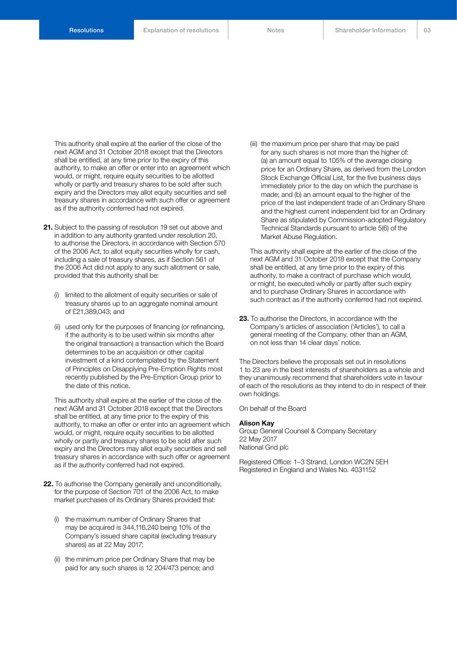This authority shall expire at the earlier of the close of the next AGM and 31 October 2018 except that the Directors shall be entitled, at any time prior to the expiry of this authority, to make an offer or enter into an agreement which would, or might, require equity securities to be allotted wholly or partly and treasury shares to be sold after such expiry and the Directors may allot equity securities and sell treasury shares in accordance with such offer or agreement as if the authority conferred had not expired.

- **21.** Subject to the passing of resolution 19 set out above and in addition to any authority granted under resolution 20, to authorise the Directors, in accordance with Section 570 of the 2006 Act, to allot equity securities wholly for cash, including a sale of treasury shares, as if Section 561 of the 2006 Act did not apply to any such allotment or sale, provided that this authority shall be:
	- (i) limited to the allotment of equity securities or sale of treasury shares up to an aggregate nominal amount of £21,389,043; and
	- (ii) used only for the purposes of financing (or refinancing, if the authority is to be used within six months after the original transaction) a transaction which the Board determines to be an acquisition or other capital investment of a kind contemplated by the Statement of Principles on Disapplying Pre-Emption Rights most recently published by the Pre-Emption Group prior to the date of this notice.

This authority shall expire at the earlier of the close of the next AGM and 31 October 2018 except that the Directors shall be entitled, at any time prior to the expiry of this authority, to make an offer or enter into an agreement which would, or might, require equity securities to be allotted wholly or partly and treasury shares to be sold after such expiry and the Directors may allot equity securities and sell treasury shares in accordance with such offer or agreement as if the authority conferred had not expired.

- **22.** To authorise the Company generally and unconditionally, for the purpose of Section 701 of the 2006 Act, to make market purchases of its Ordinary Shares provided that:
	- (i) the maximum number of Ordinary Shares that may be acquired is 344,116,240 being 10% of the Company's issued share capital (excluding treasury shares) as at 22 May 2017;
	- (ii) the minimum price per Ordinary Share that may be paid for any such shares is 12 204/473 pence; and

(iii) the maximum price per share that may be paid for any such shares is not more than the higher of: (a) an amount equal to 105% of the average closing price for an Ordinary Share, as derived from the London Stock Exchange Official List, for the five business days immediately prior to the day on which the purchase is made; and (b) an amount equal to the higher of the price of the last independent trade of an Ordinary Share and the highest current independent bid for an Ordinary Share as stipulated by Commission-adopted Regulatory Technical Standards pursuant to article 5(6) of the Market Abuse Regulation.

This authority shall expire at the earlier of the close of the next AGM and 31 October 2018 except that the Company shall be entitled, at any time prior to the expiry of this authority, to make a contract of purchase which would, or might, be executed wholly or partly after such expiry and to purchase Ordinary Shares in accordance with such contract as if the authority conferred had not expired.

**23.** To authorise the Directors, in accordance with the Company's articles of association ('Articles'), to call a general meeting of the Company, other than an AGM, on not less than 14 clear days' notice.

The Directors believe the proposals set out in resolutions 1 to 23 are in the best interests of shareholders as a whole and they unanimously recommend that shareholders vote in favour of each of the resolutions as they intend to do in respect of their own holdings.

On behalf of the Board

#### **Alison Kay**

Group General Counsel & Company Secretary 22 May 2017 National Grid plc

Registered Office: 1–3 Strand, London WC2N 5EH Registered in England and Wales No. 4031152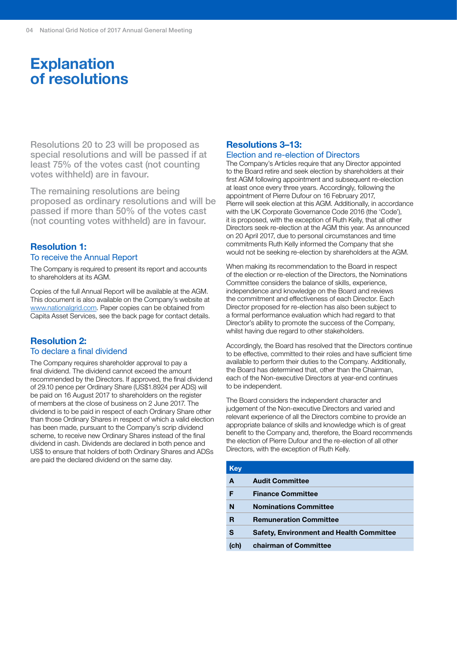## **Explanation of resolutions**

Resolutions 20 to 23 will be proposed as special resolutions and will be passed if at least 75% of the votes cast (not counting votes withheld) are in favour.

The remaining resolutions are being proposed as ordinary resolutions and will be passed if more than 50% of the votes cast (not counting votes withheld) are in favour.

### **Resolution 1:** To receive the Annual Report

The Company is required to present its report and accounts to shareholders at its AGM.

Copies of the full Annual Report will be available at the AGM. This document is also available on the Company's website at [www.nationalgrid.com.](http://www.nationalgrid.com) Paper copies can be obtained from Capita Asset Services, see the back page for contact details.

### **Resolution 2:** To declare a final dividend

The Company requires shareholder approval to pay a final dividend. The dividend cannot exceed the amount recommended by the Directors. If approved, the final dividend of 29.10 pence per Ordinary Share (US\$1.8924 per ADS) will be paid on 16 August 2017 to shareholders on the register of members at the close of business on 2 June 2017. The dividend is to be paid in respect of each Ordinary Share other than those Ordinary Shares in respect of which a valid election has been made, pursuant to the Company's scrip dividend scheme, to receive new Ordinary Shares instead of the final dividend in cash. Dividends are declared in both pence and US\$ to ensure that holders of both Ordinary Shares and ADSs are paid the declared dividend on the same day.

### **Resolutions 3–13:**

### Election and re-election of Directors

The Company's Articles require that any Director appointed to the Board retire and seek election by shareholders at their first AGM following appointment and subsequent re-election at least once every three years. Accordingly, following the appointment of Pierre Dufour on 16 February 2017, Pierre will seek election at this AGM. Additionally, in accordance with the UK Corporate Governance Code 2016 (the 'Code'), it is proposed, with the exception of Ruth Kelly, that all other Directors seek re-election at the AGM this year. As announced on 20 April 2017, due to personal circumstances and time commitments Ruth Kelly informed the Company that she would not be seeking re-election by shareholders at the AGM.

When making its recommendation to the Board in respect of the election or re-election of the Directors, the Nominations Committee considers the balance of skills, experience, independence and knowledge on the Board and reviews the commitment and effectiveness of each Director. Each Director proposed for re-election has also been subject to a formal performance evaluation which had regard to that Director's ability to promote the success of the Company, whilst having due regard to other stakeholders.

Accordingly, the Board has resolved that the Directors continue to be effective, committed to their roles and have sufficient time available to perform their duties to the Company. Additionally, the Board has determined that, other than the Chairman, each of the Non-executive Directors at year-end continues to be independent.

The Board considers the independent character and judgement of the Non-executive Directors and varied and relevant experience of all the Directors combine to provide an appropriate balance of skills and knowledge which is of great benefit to the Company and, therefore, the Board recommends the election of Pierre Dufour and the re-election of all other Directors, with the exception of Ruth Kelly.

| <b>Key</b> |                                                 |
|------------|-------------------------------------------------|
| A          | <b>Audit Committee</b>                          |
| F          | <b>Finance Committee</b>                        |
| N          | <b>Nominations Committee</b>                    |
| R          | <b>Remuneration Committee</b>                   |
| s          | <b>Safety, Environment and Health Committee</b> |
| (ch)       | <b>chairman of Committee</b>                    |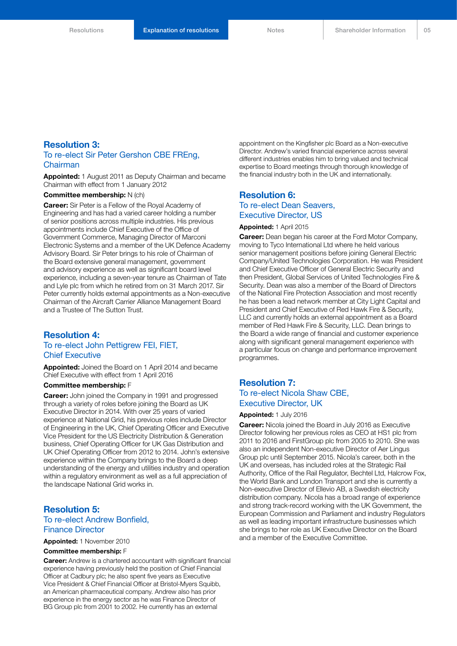### **Resolution 3:**

### To re-elect Sir Peter Gershon CBE FREng, Chairman

**Appointed:** 1 August 2011 as Deputy Chairman and became Chairman with effect from 1 January 2012

#### **Committee membership:** N (ch)

**Career:** Sir Peter is a Fellow of the Royal Academy of Engineering and has had a varied career holding a number of senior positions across multiple industries. His previous appointments include Chief Executive of the Office of Government Commerce, Managing Director of Marconi Electronic Systems and a member of the UK Defence Academy Advisory Board. Sir Peter brings to his role of Chairman of the Board extensive general management, government and advisory experience as well as significant board level experience, including a seven-year tenure as Chairman of Tate and Lyle plc from which he retired from on 31 March 2017. Sir Peter currently holds external appointments as a Non-executive Chairman of the Aircraft Carrier Alliance Management Board and a Trustee of The Sutton Trust.

### **Resolution 4:** To re-elect John Pettigrew FEI, FIET, Chief Executive

**Appointed:** Joined the Board on 1 April 2014 and became Chief Executive with effect from 1 April 2016

### **Committee membership:** F

**Career:** John joined the Company in 1991 and progressed through a variety of roles before joining the Board as UK Executive Director in 2014. With over 25 years of varied experience at National Grid, his previous roles include Director of Engineering in the UK, Chief Operating Officer and Executive Vice President for the US Electricity Distribution & Generation business, Chief Operating Officer for UK Gas Distribution and UK Chief Operating Officer from 2012 to 2014. John's extensive experience within the Company brings to the Board a deep understanding of the energy and utilities industry and operation within a regulatory environment as well as a full appreciation of the landscape National Grid works in.

### **Resolution 5:** To re-elect Andrew Bonfield, Finance Director

**Appointed:** 1 November 2010

### **Committee membership:** F

**Career:** Andrew is a chartered accountant with significant financial experience having previously held the position of Chief Financial Officer at Cadbury plc; he also spent five years as Executive Vice President & Chief Financial Officer at Bristol-Myers Squibb, an American pharmaceutical company. Andrew also has prior experience in the energy sector as he was Finance Director of BG Group plc from 2001 to 2002. He currently has an external

appointment on the Kingfisher plc Board as a Non-executive Director. Andrew's varied financial experience across several different industries enables him to bring valued and technical expertise to Board meetings through thorough knowledge of the financial industry both in the UK and internationally.

### **Resolution 6:** To re-elect Dean Seavers, Executive Director, US

#### **Appointed:** 1 April 2015

**Career:** Dean began his career at the Ford Motor Company, moving to Tyco International Ltd where he held various senior management positions before joining General Electric Company/United Technologies Corporation. He was President and Chief Executive Officer of General Electric Security and then President, Global Services of United Technologies Fire & Security. Dean was also a member of the Board of Directors of the National Fire Protection Association and most recently he has been a lead network member at City Light Capital and President and Chief Executive of Red Hawk Fire & Security, LLC and currently holds an external appointment as a Board member of Red Hawk Fire & Security, LLC. Dean brings to the Board a wide range of financial and customer experience along with significant general management experience with a particular focus on change and performance improvement programmes.

### **Resolution 7:** To re-elect Nicola Shaw CBE, Executive Director, UK

### **Appointed:** 1 July 2016

**Career:** Nicola joined the Board in July 2016 as Executive Director following her previous roles as CEO at HS1 plc from 2011 to 2016 and FirstGroup plc from 2005 to 2010. She was also an independent Non-executive Director of Aer Lingus Group plc until September 2015. Nicola's career, both in the UK and overseas, has included roles at the Strategic Rail Authority, Office of the Rail Regulator, Bechtel Ltd, Halcrow Fox, the World Bank and London Transport and she is currently a Non-executive Director of Ellevio AB, a Swedish electricity distribution company. Nicola has a broad range of experience and strong track-record working with the UK Government, the European Commission and Parliament and industry Regulators as well as leading important infrastructure businesses which she brings to her role as UK Executive Director on the Board and a member of the Executive Committee.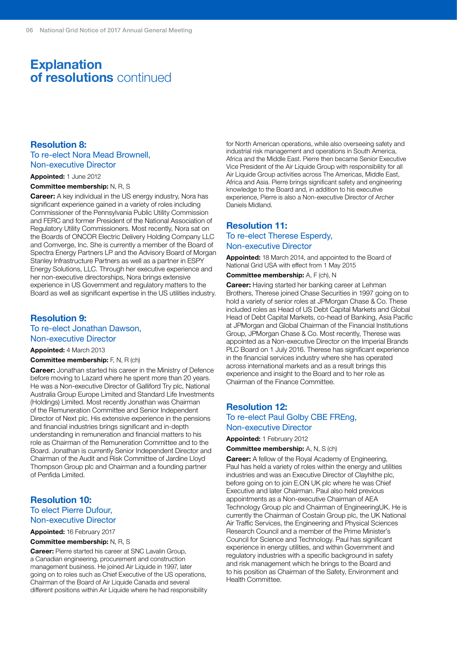### **Explanation of resolutions** continued

### **Resolution 8:**

### To re-elect Nora Mead Brownell, Non-executive Director

### **Appointed:** 1 June 2012

**Committee membership:** N, R, S

**Career:** A key individual in the US energy industry, Nora has significant experience gained in a variety of roles including Commissioner of the Pennsylvania Public Utility Commission and FERC and former President of the National Association of Regulatory Utility Commissioners. Most recently, Nora sat on the Boards of ONCOR Electric Delivery Holding Company LLC and Comverge, Inc. She is currently a member of the Board of Spectra Energy Partners LP and the Advisory Board of Morgan Stanley Infrastructure Partners as well as a partner in ESPY Energy Solutions, LLC. Through her executive experience and her non-executive directorships, Nora brings extensive experience in US Government and regulatory matters to the Board as well as significant expertise in the US utilities industry.

### **Resolution 9:**

### To re-elect Jonathan Dawson, Non-executive Director

### **Appointed:** 4 March 2013

**Committee membership:** F, N, R (ch)

**Career:** Jonathan started his career in the Ministry of Defence before moving to Lazard where he spent more than 20 years. He was a Non-executive Director of Galliford Try plc, National Australia Group Europe Limited and Standard Life Investments (Holdings) Limited. Most recently Jonathan was Chairman of the Remuneration Committee and Senior Independent Director of Next plc. His extensive experience in the pensions and financial industries brings significant and in-depth understanding in remuneration and financial matters to his role as Chairman of the Remuneration Committee and to the Board. Jonathan is currently Senior Independent Director and Chairman of the Audit and Risk Committee of Jardine Lloyd Thompson Group plc and Chairman and a founding partner of Penfida Limited.

### **Resolution 10:** To elect Pierre Dufour, Non-executive Director

#### **Appointed:** 16 February 2017

#### **Committee membership:** N, R, S

**Career:** Pierre started his career at SNC Lavalin Group, a Canadian engineering, procurement and construction management business. He joined Air Liquide in 1997, later going on to roles such as Chief Executive of the US operations, Chairman of the Board of Air Liquide Canada and several different positions within Air Liquide where he had responsibility for North American operations, while also overseeing safety and industrial risk management and operations in South America, Africa and the Middle East. Pierre then became Senior Executive Vice President of the Air Liquide Group with responsibility for all Air Liquide Group activities across The Americas, Middle East, Africa and Asia. Pierre brings significant safety and engineering knowledge to the Board and, in addition to his executive experience, Pierre is also a Non-executive Director of Archer Daniels Midland.

### **Resolution 11:** To re-elect Therese Esperdy, Non-executive Director

**Appointed:** 18 March 2014, and appointed to the Board of National Grid USA with effect from 1 May 2015

**Committee membership:** A, F (ch), N

**Career:** Having started her banking career at Lehman Brothers, Therese joined Chase Securities in 1997 going on to hold a variety of senior roles at JPMorgan Chase & Co. These included roles as Head of US Debt Capital Markets and Global Head of Debt Capital Markets, co-head of Banking, Asia Pacific at JPMorgan and Global Chairman of the Financial Institutions Group, JPMorgan Chase & Co. Most recently, Therese was appointed as a Non-executive Director on the Imperial Brands PLC Board on 1 July 2016. Therese has significant experience in the financial services industry where she has operated across international markets and as a result brings this experience and insight to the Board and to her role as Chairman of the Finance Committee.

### **Resolution 12:** To re-elect Paul Golby CBE FREng, Non-executive Director

**Appointed:** 1 February 2012

**Committee membership:** A, N, S (ch)

**Career:** A fellow of the Royal Academy of Engineering, Paul has held a variety of roles within the energy and utilities industries and was an Executive Director of Clayhithe plc, before going on to join E.ON UK plc where he was Chief Executive and later Chairman. Paul also held previous appointments as a Non-executive Chairman of AEA Technology Group plc and Chairman of EngineeringUK. He is currently the Chairman of Costain Group plc, the UK National Air Traffic Services, the Engineering and Physical Sciences Research Council and a member of the Prime Minister's Council for Science and Technology. Paul has significant experience in energy utilities, and within Government and regulatory industries with a specific background in safety and risk management which he brings to the Board and to his position as Chairman of the Safety, Environment and Health Committee.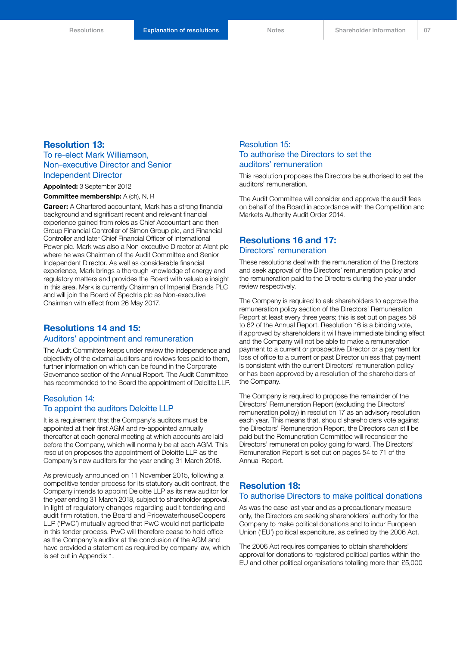### **Resolution 13:**

### To re-elect Mark Williamson, Non-executive Director and Senior Independent Director

**Appointed:** 3 September 2012

**Committee membership:** A (ch), N, R

**Career:** A Chartered accountant, Mark has a strong financial background and significant recent and relevant financial experience gained from roles as Chief Accountant and then Group Financial Controller of Simon Group plc, and Financial Controller and later Chief Financial Officer of International Power plc. Mark was also a Non-executive Director at Alent plc where he was Chairman of the Audit Committee and Senior Independent Director. As well as considerable financial experience, Mark brings a thorough knowledge of energy and regulatory matters and provides the Board with valuable insight in this area. Mark is currently Chairman of Imperial Brands PLC and will join the Board of Spectris plc as Non-executive Chairman with effect from 26 May 2017.

### **Resolutions 14 and 15:**

### Auditors' appointment and remuneration

The Audit Committee keeps under review the independence and objectivity of the external auditors and reviews fees paid to them, further information on which can be found in the Corporate Governance section of the Annual Report. The Audit Committee has recommended to the Board the appointment of Deloitte LLP.

### Resolution 14: To appoint the auditors Deloitte LLP

It is a requirement that the Company's auditors must be appointed at their first AGM and re-appointed annually thereafter at each general meeting at which accounts are laid before the Company, which will normally be at each AGM. This resolution proposes the appointment of Deloitte LLP as the Company's new auditors for the year ending 31 March 2018.

As previously announced on 11 November 2015, following a competitive tender process for its statutory audit contract, the Company intends to appoint Deloitte LLP as its new auditor for the year ending 31 March 2018, subject to shareholder approval. In light of regulatory changes regarding audit tendering and audit firm rotation, the Board and PricewaterhouseCoopers LLP ('PwC') mutually agreed that PwC would not participate in this tender process. PwC will therefore cease to hold office as the Company's auditor at the conclusion of the AGM and have provided a statement as required by company law, which is set out in Appendix 1.

### Resolution 15: To authorise the Directors to set the auditors' remuneration

This resolution proposes the Directors be authorised to set the auditors' remuneration.

The Audit Committee will consider and approve the audit fees on behalf of the Board in accordance with the Competition and Markets Authority Audit Order 2014.

### **Resolutions 16 and 17:** Directors' remuneration

These resolutions deal with the remuneration of the Directors and seek approval of the Directors' remuneration policy and the remuneration paid to the Directors during the year under review respectively.

The Company is required to ask shareholders to approve the remuneration policy section of the Directors' Remuneration Report at least every three years; this is set out on pages 58 to 62 of the Annual Report. Resolution 16 is a binding vote, if approved by shareholders it will have immediate binding effect and the Company will not be able to make a remuneration payment to a current or prospective Director or a payment for loss of office to a current or past Director unless that payment is consistent with the current Directors' remuneration policy or has been approved by a resolution of the shareholders of the Company.

The Company is required to propose the remainder of the Directors' Remuneration Report (excluding the Directors' remuneration policy) in resolution 17 as an advisory resolution each year. This means that, should shareholders vote against the Directors' Remuneration Report, the Directors can still be paid but the Remuneration Committee will reconsider the Directors' remuneration policy going forward. The Directors' Remuneration Report is set out on pages 54 to 71 of the Annual Report.

### **Resolution 18:** To authorise Directors to make political donations

As was the case last year and as a precautionary measure only, the Directors are seeking shareholders' authority for the Company to make political donations and to incur European Union ('EU') political expenditure, as defined by the 2006 Act.

The 2006 Act requires companies to obtain shareholders' approval for donations to registered political parties within the EU and other political organisations totalling more than £5,000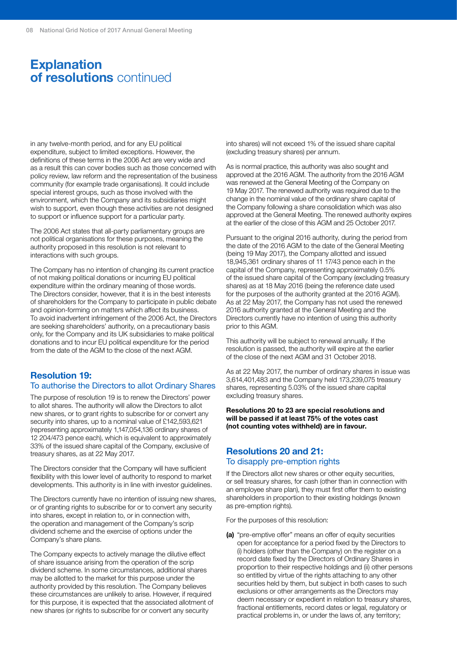### **Explanation of resolutions** continued

in any twelve-month period, and for any EU political expenditure, subject to limited exceptions. However, the definitions of these terms in the 2006 Act are very wide and as a result this can cover bodies such as those concerned with policy review, law reform and the representation of the business community (for example trade organisations). It could include special interest groups, such as those involved with the environment, which the Company and its subsidiaries might wish to support, even though these activities are not designed to support or influence support for a particular party.

The 2006 Act states that all-party parliamentary groups are not political organisations for these purposes, meaning the authority proposed in this resolution is not relevant to interactions with such groups.

The Company has no intention of changing its current practice of not making political donations or incurring EU political expenditure within the ordinary meaning of those words. The Directors consider, however, that it is in the best interests of shareholders for the Company to participate in public debate and opinion-forming on matters which affect its business. To avoid inadvertent infringement of the 2006 Act, the Directors are seeking shareholders' authority, on a precautionary basis only, for the Company and its UK subsidiaries to make political donations and to incur EU political expenditure for the period from the date of the AGM to the close of the next AGM.

### **Resolution 19:**

### To authorise the Directors to allot Ordinary Shares

The purpose of resolution 19 is to renew the Directors' power to allot shares. The authority will allow the Directors to allot new shares, or to grant rights to subscribe for or convert any security into shares, up to a nominal value of £142,593,621 (representing approximately 1,147,054,136 ordinary shares of 12 204/473 pence each), which is equivalent to approximately 33% of the issued share capital of the Company, exclusive of treasury shares, as at 22 May 2017.

The Directors consider that the Company will have sufficient flexibility with this lower level of authority to respond to market developments. This authority is in line with investor guidelines.

The Directors currently have no intention of issuing new shares, or of granting rights to subscribe for or to convert any security into shares, except in relation to, or in connection with, the operation and management of the Company's scrip dividend scheme and the exercise of options under the Company's share plans.

The Company expects to actively manage the dilutive effect of share issuance arising from the operation of the scrip dividend scheme. In some circumstances, additional shares may be allotted to the market for this purpose under the authority provided by this resolution. The Company believes these circumstances are unlikely to arise. However, if required for this purpose, it is expected that the associated allotment of new shares (or rights to subscribe for or convert any security

into shares) will not exceed 1% of the issued share capital (excluding treasury shares) per annum.

As is normal practice, this authority was also sought and approved at the 2016 AGM. The authority from the 2016 AGM was renewed at the General Meeting of the Company on 19 May 2017. The renewed authority was required due to the change in the nominal value of the ordinary share capital of the Company following a share consolidation which was also approved at the General Meeting. The renewed authority expires at the earlier of the close of this AGM and 25 October 2017.

Pursuant to the original 2016 authority, during the period from the date of the 2016 AGM to the date of the General Meeting (being 19 May 2017), the Company allotted and issued 18,945,361 ordinary shares of 11 17/43 pence each in the capital of the Company, representing approximately 0.5% of the issued share capital of the Company (excluding treasury shares) as at 18 May 2016 (being the reference date used for the purposes of the authority granted at the 2016 AGM). As at 22 May 2017, the Company has not used the renewed 2016 authority granted at the General Meeting and the Directors currently have no intention of using this authority prior to this AGM.

This authority will be subject to renewal annually. If the resolution is passed, the authority will expire at the earlier of the close of the next AGM and 31 October 2018.

As at 22 May 2017, the number of ordinary shares in issue was 3,614,401,483 and the Company held 173,239,075 treasury shares, representing 5.03% of the issued share capital excluding treasury shares.

### **Resolutions 20 to 23 are special resolutions and will be passed if at least 75% of the votes cast (not counting votes withheld) are in favour.**

### **Resolutions 20 and 21:** To disapply pre-emption rights

If the Directors allot new shares or other equity securities, or sell treasury shares, for cash (other than in connection with an employee share plan), they must first offer them to existing shareholders in proportion to their existing holdings (known as pre-emption rights).

For the purposes of this resolution:

**(a)** "pre-emptive offer" means an offer of equity securities open for acceptance for a period fixed by the Directors to (i) holders (other than the Company) on the register on a record date fixed by the Directors of Ordinary Shares in proportion to their respective holdings and (ii) other persons so entitled by virtue of the rights attaching to any other securities held by them, but subject in both cases to such exclusions or other arrangements as the Directors may deem necessary or expedient in relation to treasury shares, fractional entitlements, record dates or legal, regulatory or practical problems in, or under the laws of, any territory;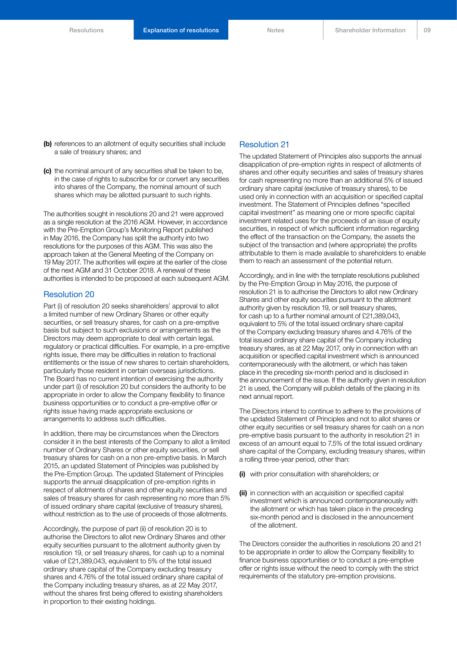- **(b)** references to an allotment of equity securities shall include a sale of treasury shares; and
- **(c)** the nominal amount of any securities shall be taken to be, in the case of rights to subscribe for or convert any securities into shares of the Company, the nominal amount of such shares which may be allotted pursuant to such rights.

The authorities sought in resolutions 20 and 21 were approved as a single resolution at the 2016 AGM. However, in accordance with the Pre-Emption Group's Monitoring Report published in May 2016, the Company has split the authority into two resolutions for the purposes of this AGM. This was also the approach taken at the General Meeting of the Company on 19 May 2017. The authorities will expire at the earlier of the close of the next AGM and 31 October 2018. A renewal of these authorities is intended to be proposed at each subsequent AGM.

### Resolution 20

Part (i) of resolution 20 seeks shareholders' approval to allot a limited number of new Ordinary Shares or other equity securities, or sell treasury shares, for cash on a pre-emptive basis but subject to such exclusions or arrangements as the Directors may deem appropriate to deal with certain legal, regulatory or practical difficulties. For example, in a pre-emptive rights issue, there may be difficulties in relation to fractional entitlements or the issue of new shares to certain shareholders, particularly those resident in certain overseas jurisdictions. The Board has no current intention of exercising the authority under part (i) of resolution 20 but considers the authority to be appropriate in order to allow the Company flexibility to finance business opportunities or to conduct a pre-emptive offer or rights issue having made appropriate exclusions or arrangements to address such difficulties.

In addition, there may be circumstances when the Directors consider it in the best interests of the Company to allot a limited number of Ordinary Shares or other equity securities, or sell treasury shares for cash on a non pre-emptive basis. In March 2015, an updated Statement of Principles was published by the Pre-Emption Group. The updated Statement of Principles supports the annual disapplication of pre-emption rights in respect of allotments of shares and other equity securities and sales of treasury shares for cash representing no more than 5% of issued ordinary share capital (exclusive of treasury shares), without restriction as to the use of proceeds of those allotments.

Accordingly, the purpose of part (ii) of resolution 20 is to authorise the Directors to allot new Ordinary Shares and other equity securities pursuant to the allotment authority given by resolution 19, or sell treasury shares, for cash up to a nominal value of £21,389,043, equivalent to 5% of the total issued ordinary share capital of the Company excluding treasury shares and 4.76% of the total issued ordinary share capital of the Company including treasury shares, as at 22 May 2017, without the shares first being offered to existing shareholders in proportion to their existing holdings.

### Resolution 21

The updated Statement of Principles also supports the annual disapplication of pre-emption rights in respect of allotments of shares and other equity securities and sales of treasury shares for cash representing no more than an additional 5% of issued ordinary share capital (exclusive of treasury shares), to be used only in connection with an acquisition or specified capital investment. The Statement of Principles defines "specified capital investment" as meaning one or more specific capital investment related uses for the proceeds of an issue of equity securities, in respect of which sufficient information regarding the effect of the transaction on the Company, the assets the subject of the transaction and (where appropriate) the profits attributable to them is made available to shareholders to enable them to reach an assessment of the potential return.

Accordingly, and in line with the template resolutions published by the Pre-Emption Group in May 2016, the purpose of resolution 21 is to authorise the Directors to allot new Ordinary Shares and other equity securities pursuant to the allotment authority given by resolution 19, or sell treasury shares, for cash up to a further nominal amount of £21,389,043, equivalent to 5% of the total issued ordinary share capital of the Company excluding treasury shares and 4.76% of the total issued ordinary share capital of the Company including treasury shares, as at 22 May 2017, only in connection with an acquisition or specified capital investment which is announced contemporaneously with the allotment, or which has taken place in the preceding six-month period and is disclosed in the announcement of the issue. If the authority given in resolution 21 is used, the Company will publish details of the placing in its next annual report.

The Directors intend to continue to adhere to the provisions of the updated Statement of Principles and not to allot shares or other equity securities or sell treasury shares for cash on a non pre-emptive basis pursuant to the authority in resolution 21 in excess of an amount equal to 7.5% of the total issued ordinary share capital of the Company, excluding treasury shares, within a rolling three-year period, other than:

- **(i)** with prior consultation with shareholders; or
- **(ii)** in connection with an acquisition or specified capital investment which is announced contemporaneously with the allotment or which has taken place in the preceding six-month period and is disclosed in the announcement of the allotment.

The Directors consider the authorities in resolutions 20 and 21 to be appropriate in order to allow the Company flexibility to finance business opportunities or to conduct a pre-emptive offer or rights issue without the need to comply with the strict requirements of the statutory pre-emption provisions.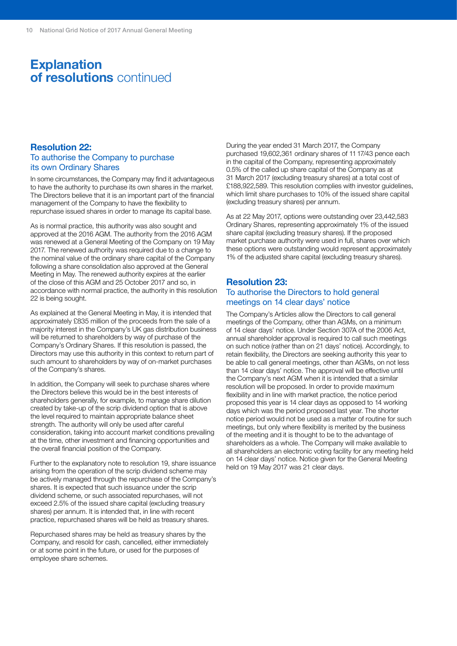### **Explanation of resolutions** continued

### **Resolution 22:**

### To authorise the Company to purchase its own Ordinary Shares

In some circumstances, the Company may find it advantageous to have the authority to purchase its own shares in the market. The Directors believe that it is an important part of the financial management of the Company to have the flexibility to repurchase issued shares in order to manage its capital base.

As is normal practice, this authority was also sought and approved at the 2016 AGM. The authority from the 2016 AGM was renewed at a General Meeting of the Company on 19 May 2017. The renewed authority was required due to a change to the nominal value of the ordinary share capital of the Company following a share consolidation also approved at the General Meeting in May. The renewed authority expires at the earlier of the close of this AGM and 25 October 2017 and so, in accordance with normal practice, the authority in this resolution 22 is being sought.

As explained at the General Meeting in May, it is intended that approximately £835 million of the proceeds from the sale of a majority interest in the Company's UK gas distribution business will be returned to shareholders by way of purchase of the Company's Ordinary Shares. If this resolution is passed, the Directors may use this authority in this context to return part of such amount to shareholders by way of on-market purchases of the Company's shares.

In addition, the Company will seek to purchase shares where the Directors believe this would be in the best interests of shareholders generally, for example, to manage share dilution created by take-up of the scrip dividend option that is above the level required to maintain appropriate balance sheet strength. The authority will only be used after careful consideration, taking into account market conditions prevailing at the time, other investment and financing opportunities and the overall financial position of the Company.

Further to the explanatory note to resolution 19, share issuance arising from the operation of the scrip dividend scheme may be actively managed through the repurchase of the Company's shares. It is expected that such issuance under the scrip dividend scheme, or such associated repurchases, will not exceed 2.5% of the issued share capital (excluding treasury shares) per annum. It is intended that, in line with recent practice, repurchased shares will be held as treasury shares.

Repurchased shares may be held as treasury shares by the Company, and resold for cash, cancelled, either immediately or at some point in the future, or used for the purposes of employee share schemes.

During the year ended 31 March 2017, the Company purchased 19,602,361 ordinary shares of 11 17/43 pence each in the capital of the Company, representing approximately 0.5% of the called up share capital of the Company as at 31 March 2017 (excluding treasury shares) at a total cost of £188,922,589. This resolution complies with investor quidelines, which limit share purchases to 10% of the issued share capital (excluding treasury shares) per annum.

As at 22 May 2017, options were outstanding over 23,442,583 Ordinary Shares, representing approximately 1% of the issued share capital (excluding treasury shares). If the proposed market purchase authority were used in full, shares over which these options were outstanding would represent approximately 1% of the adjusted share capital (excluding treasury shares).

### **Resolution 23:** To authorise the Directors to hold general meetings on 14 clear days' notice

The Company's Articles allow the Directors to call general meetings of the Company, other than AGMs, on a minimum of 14 clear days' notice. Under Section 307A of the 2006 Act, annual shareholder approval is required to call such meetings on such notice (rather than on 21 days' notice). Accordingly, to retain flexibility, the Directors are seeking authority this year to be able to call general meetings, other than AGMs, on not less than 14 clear days' notice. The approval will be effective until the Company's next AGM when it is intended that a similar resolution will be proposed. In order to provide maximum flexibility and in line with market practice, the notice period proposed this year is 14 clear days as opposed to 14 working days which was the period proposed last year. The shorter notice period would not be used as a matter of routine for such meetings, but only where flexibility is merited by the business of the meeting and it is thought to be to the advantage of shareholders as a whole. The Company will make available to all shareholders an electronic voting facility for any meeting held on 14 clear days' notice. Notice given for the General Meeting held on 19 May 2017 was 21 clear days.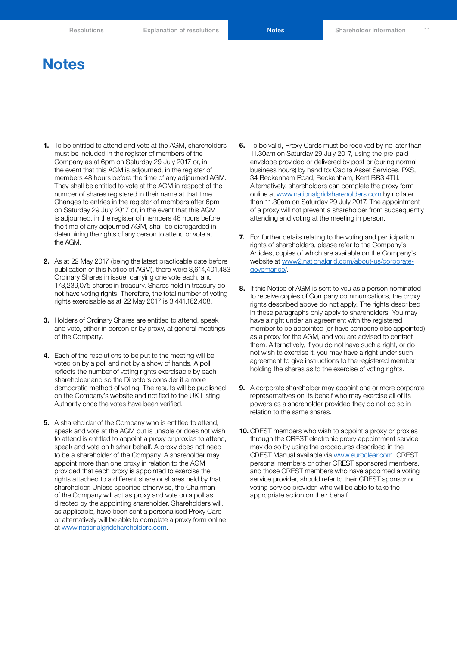### **Notes**

- **1.** To be entitled to attend and vote at the AGM, shareholders must be included in the register of members of the Company as at 6pm on Saturday 29 July 2017 or, in the event that this AGM is adjourned, in the register of members 48 hours before the time of any adjourned AGM. They shall be entitled to vote at the AGM in respect of the number of shares registered in their name at that time. Changes to entries in the register of members after 6pm on Saturday 29 July 2017 or, in the event that this AGM is adjourned, in the register of members 48 hours before the time of any adjourned AGM, shall be disregarded in determining the rights of any person to attend or vote at the AGM.
- **2.** As at 22 May 2017 (being the latest practicable date before publication of this Notice of AGM), there were 3,614,401,483 Ordinary Shares in issue, carrying one vote each, and 173,239,075 shares in treasury. Shares held in treasury do not have voting rights. Therefore, the total number of voting rights exercisable as at 22 May 2017 is 3,441,162,408.
- **3.** Holders of Ordinary Shares are entitled to attend, speak and vote, either in person or by proxy, at general meetings of the Company.
- **4.** Each of the resolutions to be put to the meeting will be voted on by a poll and not by a show of hands. A poll reflects the number of voting rights exercisable by each shareholder and so the Directors consider it a more democratic method of voting. The results will be published on the Company's website and notified to the UK Listing Authority once the votes have been verified.
- **5.** A shareholder of the Company who is entitled to attend, speak and vote at the AGM but is unable or does not wish to attend is entitled to appoint a proxy or proxies to attend, speak and vote on his/her behalf. A proxy does not need to be a shareholder of the Company. A shareholder may appoint more than one proxy in relation to the AGM provided that each proxy is appointed to exercise the rights attached to a different share or shares held by that shareholder. Unless specified otherwise, the Chairman of the Company will act as proxy and vote on a poll as directed by the appointing shareholder. Shareholders will, as applicable, have been sent a personalised Proxy Card or alternatively will be able to complete a proxy form online at [www.nationalgridshareholders.com.](http://www.nationalgridshareholders.com)
- **6.** To be valid, Proxy Cards must be received by no later than 11.30am on Saturday 29 July 2017, using the pre-paid envelope provided or delivered by post or (during normal business hours) by hand to: Capita Asset Services, PXS, 34 Beckenham Road, Beckenham, Kent BR3 4TU. Alternatively, shareholders can complete the proxy form online at [www.nationalgridshareholders.com](http://www.nationalgridshareholders.com) by no later than 11.30am on Saturday 29 July 2017. The appointment of a proxy will not prevent a shareholder from subsequently attending and voting at the meeting in person.
- **7.** For further details relating to the voting and participation rights of shareholders, please refer to the Company's Articles, copies of which are available on the Company's website at [www2.nationalgrid.com/about-us/corporate](http://www2.nationalgrid.com/about-us/corporate-governance/)[governance/](http://www2.nationalgrid.com/about-us/corporate-governance/).
- **8.** If this Notice of AGM is sent to you as a person nominated to receive copies of Company communications, the proxy rights described above do not apply. The rights described in these paragraphs only apply to shareholders. You may have a right under an agreement with the registered member to be appointed (or have someone else appointed) as a proxy for the AGM, and you are advised to contact them. Alternatively, if you do not have such a right, or do not wish to exercise it, you may have a right under such agreement to give instructions to the registered member holding the shares as to the exercise of voting rights.
- **9.** A corporate shareholder may appoint one or more corporate representatives on its behalf who may exercise all of its powers as a shareholder provided they do not do so in relation to the same shares.
- **10.** CREST members who wish to appoint a proxy or proxies through the CREST electronic proxy appointment service may do so by using the procedures described in the CREST Manual available via [www.euroclear.com.](http://www.euroclear.com) CREST personal members or other CREST sponsored members, and those CREST members who have appointed a voting service provider, should refer to their CREST sponsor or voting service provider, who will be able to take the appropriate action on their behalf.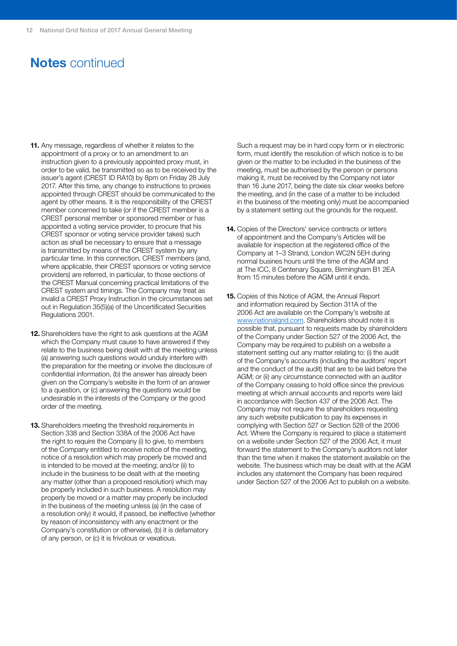### **Notes** continued

- **11.** Any message, regardless of whether it relates to the appointment of a proxy or to an amendment to an instruction given to a previously appointed proxy must, in order to be valid, be transmitted so as to be received by the issuer's agent (CREST ID RA10) by 8pm on Friday 28 July 2017. After this time, any change to instructions to proxies appointed through CREST should be communicated to the agent by other means. It is the responsibility of the CREST member concerned to take (or if the CREST member is a CREST personal member or sponsored member or has appointed a voting service provider, to procure that his CREST sponsor or voting service provider takes) such action as shall be necessary to ensure that a message is transmitted by means of the CREST system by any particular time. In this connection, CREST members (and, where applicable, their CREST sponsors or voting service providers) are referred, in particular, to those sections of the CREST Manual concerning practical limitations of the CREST system and timings. The Company may treat as invalid a CREST Proxy Instruction in the circumstances set out in Regulation 35(5)(a) of the Uncertificated Securities Regulations 2001.
- **12.** Shareholders have the right to ask questions at the AGM which the Company must cause to have answered if they relate to the business being dealt with at the meeting unless (a) answering such questions would unduly interfere with the preparation for the meeting or involve the disclosure of confidential information, (b) the answer has already been given on the Company's website in the form of an answer to a question, or (c) answering the questions would be undesirable in the interests of the Company or the good order of the meeting.
- **13.** Shareholders meeting the threshold requirements in Section 338 and Section 338A of the 2006 Act have the right to require the Company (i) to give, to members of the Company entitled to receive notice of the meeting, notice of a resolution which may properly be moved and is intended to be moved at the meeting; and/or (ii) to include in the business to be dealt with at the meeting any matter (other than a proposed resolution) which may be properly included in such business. A resolution may properly be moved or a matter may properly be included in the business of the meeting unless (a) (in the case of a resolution only) it would, if passed, be ineffective (whether by reason of inconsistency with any enactment or the Company's constitution or otherwise), (b) it is defamatory of any person, or (c) it is frivolous or vexatious.

Such a request may be in hard copy form or in electronic form, must identify the resolution of which notice is to be given or the matter to be included in the business of the meeting, must be authorised by the person or persons making it, must be received by the Company not later than 16 June 2017, being the date six clear weeks before the meeting, and (in the case of a matter to be included in the business of the meeting only) must be accompanied by a statement setting out the grounds for the request.

- **14.** Copies of the Directors' service contracts or letters of appointment and the Company's Articles will be available for inspection at the registered office of the Company at 1–3 Strand, London WC2N 5EH during normal busines hours until the time of the AGM and at The ICC, 8 Centenary Square, Birmingham B1 2EA from 15 minutes before the AGM until it ends.
- **15.** Copies of this Notice of AGM, the Annual Report and information required by Section 311A of the 2006 Act are available on the Company's website at [www.nationalgrid.com](http://www.nationalgrid.com). Shareholders should note it is possible that, pursuant to requests made by shareholders of the Company under Section 527 of the 2006 Act, the Company may be required to publish on a website a statement setting out any matter relating to: (i) the audit of the Company's accounts (including the auditors' report and the conduct of the audit) that are to be laid before the AGM; or (ii) any circumstance connected with an auditor of the Company ceasing to hold office since the previous meeting at which annual accounts and reports were laid in accordance with Section 437 of the 2006 Act. The Company may not require the shareholders requesting any such website publication to pay its expenses in complying with Section 527 or Section 528 of the 2006 Act. Where the Company is required to place a statement on a website under Section 527 of the 2006 Act, it must forward the statement to the Company's auditors not later than the time when it makes the statement available on the website. The business which may be dealt with at the AGM includes any statement the Company has been required under Section 527 of the 2006 Act to publish on a website.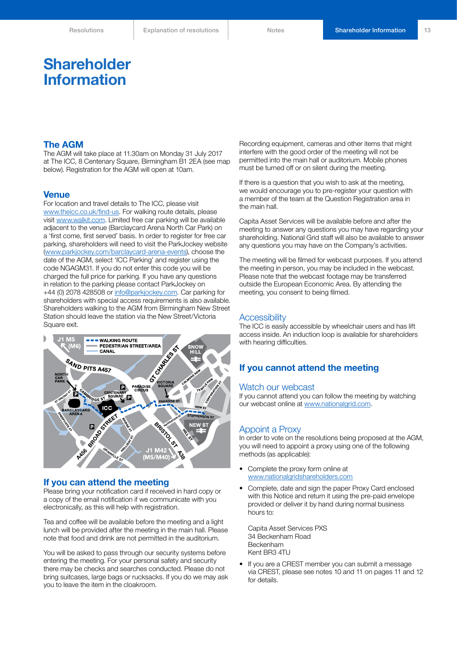### **Shareholder Information**

### **The AGM**

The AGM will take place at 11.30am on Monday 31 July 2017 at The ICC, 8 Centenary Square, Birmingham B1 2EA (see map below). Registration for the AGM will open at 10am.

### **Venue**

For location and travel details to The ICC, please visit [www.theicc.co.uk/find-us.](http://www.theicc.co.uk/find-us) For walking route details, please visit [www.walkit.com.](http://www.walkit.com) Limited free car parking will be available adjacent to the venue (Barclaycard Arena North Car Park) on a 'first come, first served' basis. In order to register for free car parking, shareholders will need to visit the ParkJockey website (www.parkjockey.com/barclaycard-arena-events), choose the date of the AGM, select 'ICC Parking' and register using the code NGAGM31. If you do not enter this code you will be charged the full price for parking. If you have any questions in relation to the parking please contact ParkJockey on +44 (0) 2078 428508 or [info@parkjockey.com.](mailto:info%40parkjockey.com?subject=) Car parking for shareholders with special access requirements is also available. Shareholders walking to the AGM from Birmingham New Street Station should leave the station via the New Street/Victoria Square exit.



### **If you can attend the meeting**

Please bring your notification card if received in hard copy or a copy of the email notification if we communicate with you electronically, as this will help with registration.

Tea and coffee will be available before the meeting and a light lunch will be provided after the meeting in the main hall. Please note that food and drink are not permitted in the auditorium.

You will be asked to pass through our security systems before entering the meeting. For your personal safety and security there may be checks and searches conducted. Please do not bring suitcases, large bags or rucksacks. If you do we may ask you to leave the item in the cloakroom.

Recording equipment, cameras and other items that might interfere with the good order of the meeting will not be permitted into the main hall or auditorium. Mobile phones must be turned off or on silent during the meeting.

If there is a question that you wish to ask at the meeting, we would encourage you to pre-register your question with a member of the team at the Question Registration area in the main hall.

Capita Asset Services will be available before and after the meeting to answer any questions you may have regarding your shareholding. National Grid staff will also be available to answer any questions you may have on the Company's activities.

The meeting will be filmed for webcast purposes. If you attend the meeting in person, you may be included in the webcast. Please note that the webcast footage may be transferred outside the European Economic Area. By attending the meeting, you consent to being filmed.

### **Accessibility**

The ICC is easily accessible by wheelchair users and has lift access inside. An induction loop is available for shareholders with hearing difficulties.

### **If you cannot attend the meeting**

#### Watch our webcast

If you cannot attend you can follow the meeting by watching our webcast online at [www.nationalgrid.com.](http://www.nationalgrid.com)

### Appoint a Proxy

In order to vote on the resolutions being proposed at the AGM, you will need to appoint a proxy using one of the following methods (as applicable):

- Comple[t](http:// www.nationalgridshareholders.com)e the proxy form online at [www.nationalgridshareholders.com](http:// www.nationalgridshareholders.com)
- Complete, date and sign the paper Proxy Card enclosed with this Notice and return it using the pre-paid envelope provided or deliver it by hand during normal business hours to:

Capita Asset Services PXS 34 Beckenham Road Beckenham Kent BR3 4TU

If you are a CREST member you can submit a message via CREST, please see notes 10 and 11 on pages 11 and 12 for details.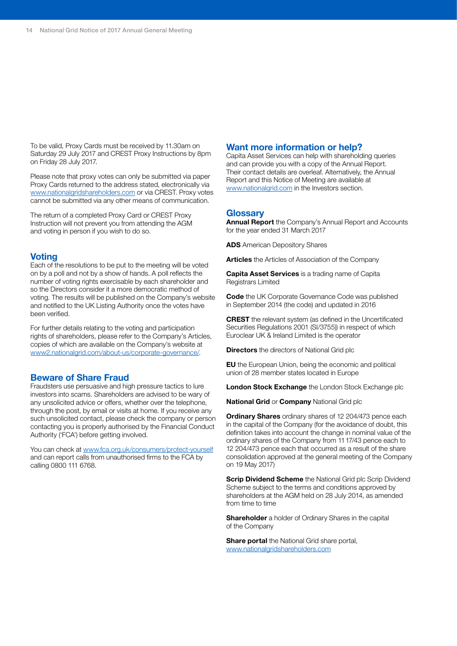To be valid, Proxy Cards must be received by 11.30am on Saturday 29 July 2017 and CREST Proxy Instructions by 8pm on Friday 28 July 2017.

Please note that proxy votes can only be submitted via paper Proxy Cards returned to the address stated, electronically via [www.nationalgridshareholders.com](http://www.nationalgridshareholders.com) or via CREST. Proxy votes cannot be submitted via any other means of communication.

The return of a completed Proxy Card or CREST Proxy Instruction will not prevent you from attending the AGM and voting in person if you wish to do so.

### **Voting**

Each of the resolutions to be put to the meeting will be voted on by a poll and not by a show of hands. A poll reflects the number of voting rights exercisable by each shareholder and so the Directors consider it a more democratic method of voting. The results will be published on the Company's website and notified to the UK Listing Authority once the votes have been verified.

For further details relating to the voting and participation rights of shareholders, please refer to the Company's Articles, copies of which are available on the Company's website at [www2.nationalgrid.com/about-us/corporate-governance/](http://www2.nationalgrid.com/about-us/corporate-governance/).

### **Beware of Share Fraud**

Fraudsters use persuasive and high pressure tactics to lure investors into scams. Shareholders are advised to be wary of any unsolicited advice or offers, whether over the telephone, through the post, by email or visits at home. If you receive any such unsolicited contact, please check the company or person contacting you is properly authorised by the Financial Conduct Authority ('FCA') before getting involved.

You can check at [www.fca.org.uk/consumers/protect-yourself](http://www.fca.org.uk/consumers/protect-yourself) and can report calls from unauthorised firms to the FCA by calling 0800 111 6768.

### **Want more information or help?**

Capita Asset Services can help with shareholding queries and can provide you with a copy of the Annual Report. Their contact details are overleaf. Alternatively, the Annual Report and this Notice of Meeting are available at [www.nationalgrid.com](http://www.nationalgrid.com) in the Investors section.

### **Glossary**

**Annual Report** the Company's Annual Report and Accounts for the year ended 31 March 2017

**ADS** American Depository Shares

**Articles** the Articles of Association of the Company

**Capita Asset Services** is a trading name of Capita Registrars Limited

**Code** the UK Corporate Governance Code was published in September 2014 (the code) and updated in 2016

**CREST** the relevant system (as defined in the Uncertificated Securities Regulations 2001 (SI/3755)) in respect of which Euroclear UK & Ireland Limited is the operator

**Directors** the directors of National Grid plc

**EU** the European Union, being the economic and political union of 28 member states located in Europe

**London Stock Exchange** the London Stock Exchange plc

**National Grid** or **Company** National Grid plc

**Ordinary Shares** ordinary shares of 12 204/473 pence each in the capital of the Company (for the avoidance of doubt, this definition takes into account the change in nominal value of the ordinary shares of the Company from 11 17/43 pence each to 12 204/473 pence each that occurred as a result of the share consolidation approved at the general meeting of the Company on 19 May 2017)

**Scrip Dividend Scheme** the National Grid plc Scrip Dividend Scheme subject to the terms and conditions approved by shareholders at the AGM held on 28 July 2014, as amended from time to time

**Shareholder** a holder of Ordinary Shares in the capital of the Company

**Share portal** the National Grid share portal, [www.nationalgridshareholders.com](http://www.nationalgridshareholders.com)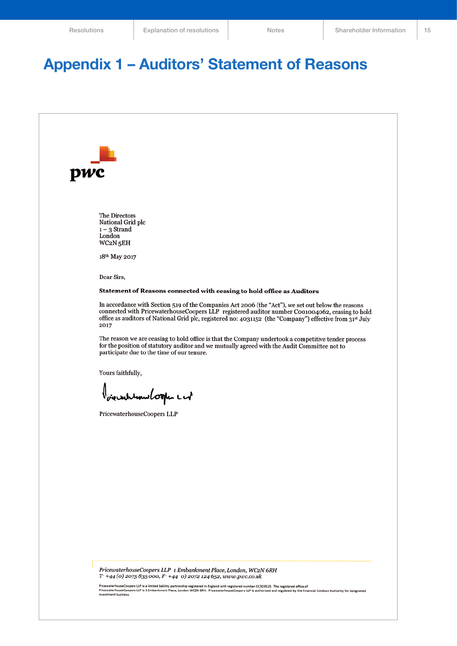## **Appendix 1 – Auditors' Statement of Reasons**



PricewaterhouseCoopers LLP 1 Embankment Place, London, WC2N 6RH  $T + 44$  (0) 2075 835 000,  $F + 44$  0) 2072 124 652, www.pwc.co.uk

PricewaterhouseCoopers LLP is a limited liability partnership registered in England with registered number OC303525. The registered office of<br>PricewaterhouseCoopers LLP is 1 Embankment Place, London WC2N 6RH. Pricewaterhou